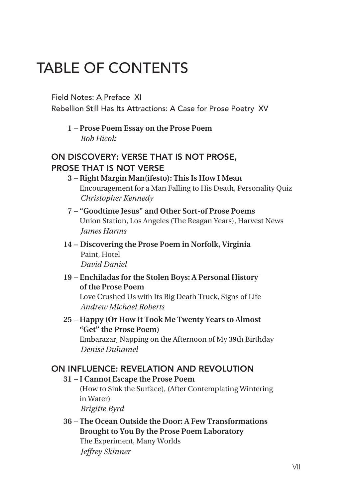# Table of contents

## Field Notes: A Preface XI

Rebellion Still Has Its Attractions: A Case for Prose Poetry XV

**1 – Prose Poem Essay on the Prose Poem** *Bob Hicok*

# On Discovery: Verse That Is Not Prose, Prose That Is Not Verse

- **3 Right Margin Man(ifesto): This Is How I Mean** Encouragement for a Man Falling to His Death, Personality Quiz  *Christopher Kennedy*
- **7 "Goodtime Jesus" and Other Sort-of Prose Poems** Union Station, Los Angeles (The Reagan Years), Harvest News  *James Harms*
- **14 Discovering the Prose Poem in Norfolk, Virginia** Paint, Hotel  *David Daniel*
- **19 Enchiladas for the Stolen Boys: A Personal History of the Prose Poem**

Love Crushed Us with Its Big Death Truck, Signs of Life  *Andrew Michael Roberts*

**25 – Happy (Or How It Took Me Twenty Years to Almost "Get" the Prose Poem)**

Embarazar, Napping on the Afternoon of My 39th Birthday  *Denise Duhamel*

## On Influence: Revelation and Revolution

#### **31 – I Cannot Escape the Prose Poem**

(How to Sink the Surface), (After Contemplating Wintering in Water)

*Brigitte Byrd*

**36 – The Ocean Outside the Door: A Few Transformations Brought to You By the Prose Poem Laboratory** The Experiment, Many Worlds  *Jeffrey Skinner*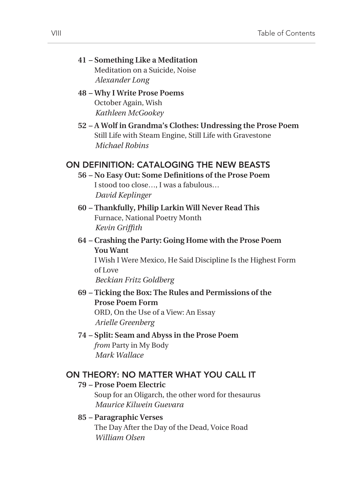- **41 Something Like a Meditation** Meditation on a Suicide, Noise  *Alexander Long*
- **48 Why I Write Prose Poems** October Again, Wish  *Kathleen McGookey*
- **52 A Wolf in Grandma's Clothes: Undressing the Prose Poem** Still Life with Steam Engine, Still Life with Gravestone  *Michael Robins*

## On Definition: Cataloging the New Beasts

- **56 No Easy Out: Some Definitions of the Prose Poem** I stood too close…, I was a fabulous…  *David Keplinger*
- **60 Thankfully, Philip Larkin Will Never Read This** Furnace, National Poetry Month  *Kevin Griffith*
- **64 Crashing the Party: Going Home with the Prose Poem You Want**

I Wish I Were Mexico, He Said Discipline Is the Highest Form of Love

*Beckian Fritz Goldberg*

**69 – Ticking the Box: The Rules and Permissions of the Prose Poem Form** ORD, On the Use of a View: An Essay  *Arielle Greenberg*

#### **74 – Split: Seam and Abyss in the Prose Poem** *from* Party in My Body  *Mark Wallace*

#### On Theory: No Matter What You Call It

#### **79 – Prose Poem Electric**

Soup for an Oligarch, the other word for thesaurus  *Maurice Kilwein Guevara*

#### **85 – Paragraphic Verses**

The Day After the Day of the Dead, Voice Road  *William Olsen*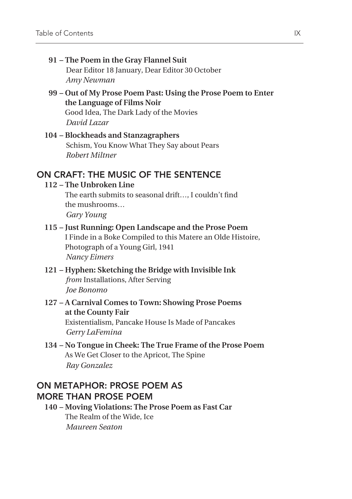- **91 The Poem in the Gray Flannel Suit** Dear Editor 18 January, Dear Editor 30 October  *Amy Newman*
- **99 Out of My Prose Poem Past: Using the Prose Poem to Enter the Language of Films Noir**

Good Idea, The Dark Lady of the Movies  *David Lazar*

**104 – Blockheads and Stanzagraphers** Schism, You Know What They Say about Pears  *Robert Miltner* 

# On Craft: The Music of the Sentence

#### **112 – The Unbroken Line**

The earth submits to seasonal drift…, I couldn't find the mushrooms… *Gary Young*

## **115 – Just Running: Open Landscape and the Prose Poem**

I Finde in a Boke Compiled to this Matere an Olde Histoire, Photograph of a Young Girl, 1941  *Nancy Eimers*

- **121 Hyphen: Sketching the Bridge with Invisible Ink** *from* Installations, After Serving  *Joe Bonomo*
- **127 A Carnival Comes to Town: Showing Prose Poems at the County Fair** Existentialism, Pancake House Is Made of Pancakes  *Gerry LaFemina*
- **134 No Tongue in Cheek: The True Frame of the Prose Poem** As We Get Closer to the Apricot, The Spine  *Ray Gonzalez*

## On Metaphor: Prose Poem as More than Prose Poem

**140 – Moving Violations: The Prose Poem as Fast Car** The Realm of the Wide, Ice  *Maureen Seaton*